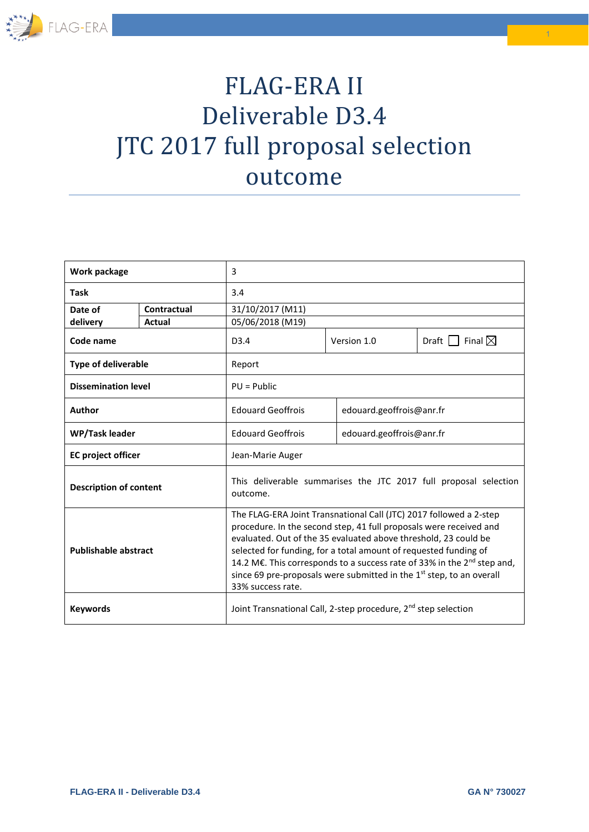

# FLAG-ERA II Deliverable D3.4 JTC 2017 full proposal selection outcome

| Work package                  |             | 3                                                                                                                                                                                                                                                                                                                                                                                                                                                                               |             |                            |  |
|-------------------------------|-------------|---------------------------------------------------------------------------------------------------------------------------------------------------------------------------------------------------------------------------------------------------------------------------------------------------------------------------------------------------------------------------------------------------------------------------------------------------------------------------------|-------------|----------------------------|--|
| <b>Task</b>                   |             | 3.4                                                                                                                                                                                                                                                                                                                                                                                                                                                                             |             |                            |  |
| Date of                       | Contractual | 31/10/2017 (M11)                                                                                                                                                                                                                                                                                                                                                                                                                                                                |             |                            |  |
| delivery                      | Actual      | 05/06/2018 (M19)                                                                                                                                                                                                                                                                                                                                                                                                                                                                |             |                            |  |
| Code name                     |             | D <sub>3</sub> .4                                                                                                                                                                                                                                                                                                                                                                                                                                                               | Version 1.0 | Final $\boxtimes$<br>Draft |  |
| <b>Type of deliverable</b>    |             | Report                                                                                                                                                                                                                                                                                                                                                                                                                                                                          |             |                            |  |
| <b>Dissemination level</b>    |             | $PU = Public$                                                                                                                                                                                                                                                                                                                                                                                                                                                                   |             |                            |  |
| Author                        |             | <b>Edouard Geoffrois</b>                                                                                                                                                                                                                                                                                                                                                                                                                                                        |             | edouard.geoffrois@anr.fr   |  |
| <b>WP/Task leader</b>         |             | <b>Edouard Geoffrois</b>                                                                                                                                                                                                                                                                                                                                                                                                                                                        |             | edouard.geoffrois@anr.fr   |  |
| <b>EC</b> project officer     |             | Jean-Marie Auger                                                                                                                                                                                                                                                                                                                                                                                                                                                                |             |                            |  |
| <b>Description of content</b> |             | This deliverable summarises the JTC 2017 full proposal selection<br>outcome.                                                                                                                                                                                                                                                                                                                                                                                                    |             |                            |  |
| <b>Publishable abstract</b>   |             | The FLAG-ERA Joint Transnational Call (JTC) 2017 followed a 2-step<br>procedure. In the second step, 41 full proposals were received and<br>evaluated. Out of the 35 evaluated above threshold, 23 could be<br>selected for funding, for a total amount of requested funding of<br>14.2 M€. This corresponds to a success rate of 33% in the 2 <sup>nd</sup> step and,<br>since 69 pre-proposals were submitted in the 1 <sup>st</sup> step, to an overall<br>33% success rate. |             |                            |  |
| <b>Keywords</b>               |             | Joint Transnational Call, 2-step procedure, 2 <sup>nd</sup> step selection                                                                                                                                                                                                                                                                                                                                                                                                      |             |                            |  |

1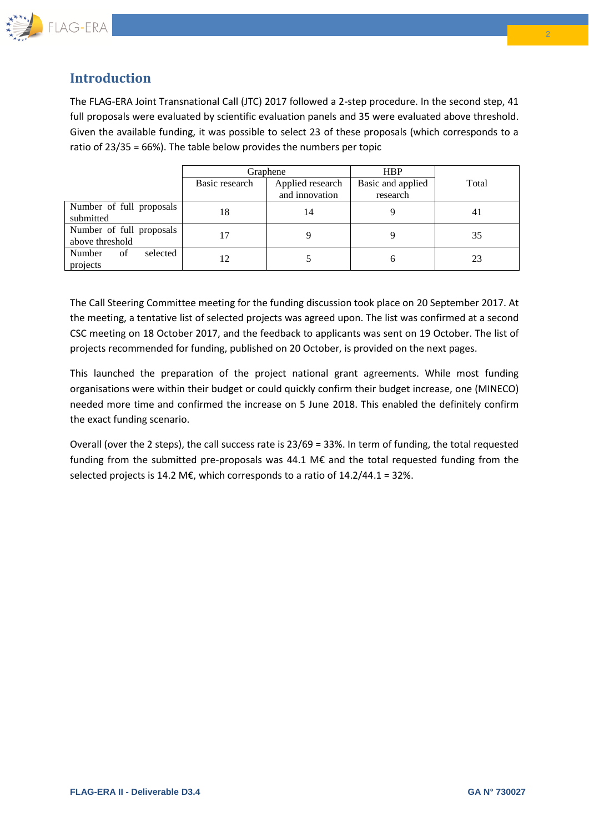

### **Introduction**

The FLAG-ERA Joint Transnational Call (JTC) 2017 followed a 2-step procedure. In the second step, 41 full proposals were evaluated by scientific evaluation panels and 35 were evaluated above threshold. Given the available funding, it was possible to select 23 of these proposals (which corresponds to a ratio of 23/35 = 66%). The table below provides the numbers per topic

|                                             | Graphene       |                                    | <b>HBP</b>                    |       |
|---------------------------------------------|----------------|------------------------------------|-------------------------------|-------|
|                                             | Basic research | Applied research<br>and innovation | Basic and applied<br>research | Total |
| Number of full proposals<br>submitted       | 18             | 14                                 |                               | 41    |
| Number of full proposals<br>above threshold |                |                                    |                               | 35    |
| Number<br>selected<br>of<br>projects        |                |                                    |                               | 23    |

The Call Steering Committee meeting for the funding discussion took place on 20 September 2017. At the meeting, a tentative list of selected projects was agreed upon. The list was confirmed at a second CSC meeting on 18 October 2017, and the feedback to applicants was sent on 19 October. The list of projects recommended for funding, published on 20 October, is provided on the next pages.

This launched the preparation of the project national grant agreements. While most funding organisations were within their budget or could quickly confirm their budget increase, one (MINECO) needed more time and confirmed the increase on 5 June 2018. This enabled the definitely confirm the exact funding scenario.

Overall (over the 2 steps), the call success rate is 23/69 = 33%. In term of funding, the total requested funding from the submitted pre-proposals was 44.1 M€ and the total requested funding from the selected projects is 14.2 M€, which corresponds to a ratio of  $14.2/44.1 = 32\%$ .

 $\overline{2}$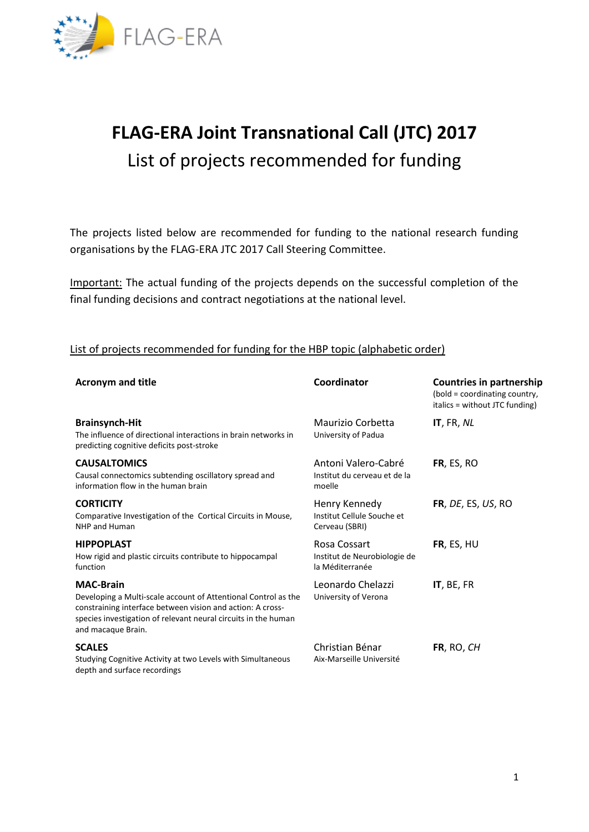

## **FLAG-ERA Joint Transnational Call (JTC) 2017** List of projects recommended for funding

The projects listed below are recommended for funding to the national research funding organisations by the FLAG-ERA JTC 2017 Call Steering Committee.

Important: The actual funding of the projects depends on the successful completion of the final funding decisions and contract negotiations at the national level.

#### List of projects recommended for funding for the HBP topic (alphabetic order)

| <b>Acronym and title</b>                                                                                                                                                                                                                 | Coordinator                                                     | <b>Countries in partnership</b><br>(bold = coordinating country,<br>italics = without JTC funding) |
|------------------------------------------------------------------------------------------------------------------------------------------------------------------------------------------------------------------------------------------|-----------------------------------------------------------------|----------------------------------------------------------------------------------------------------|
| <b>Brainsynch-Hit</b><br>The influence of directional interactions in brain networks in<br>predicting cognitive deficits post-stroke                                                                                                     | Maurizio Corbetta<br>University of Padua                        | IT, FR, NL                                                                                         |
| <b>CAUSALTOMICS</b><br>Causal connectomics subtending oscillatory spread and<br>information flow in the human brain                                                                                                                      | Antoni Valero-Cabré<br>Institut du cerveau et de la<br>moelle   | FR, ES, RO                                                                                         |
| <b>CORTICITY</b><br>Comparative Investigation of the Cortical Circuits in Mouse,<br>NHP and Human                                                                                                                                        | Henry Kennedy<br>Institut Cellule Souche et<br>Cerveau (SBRI)   | FR, DE, ES, US, RO                                                                                 |
| <b>HIPPOPLAST</b><br>How rigid and plastic circuits contribute to hippocampal<br>function                                                                                                                                                | Rosa Cossart<br>Institut de Neurobiologie de<br>la Méditerranée | FR, ES, HU                                                                                         |
| <b>MAC-Brain</b><br>Developing a Multi-scale account of Attentional Control as the<br>constraining interface between vision and action: A cross-<br>species investigation of relevant neural circuits in the human<br>and macaque Brain. | Leonardo Chelazzi<br>University of Verona                       | IT, BE, FR                                                                                         |
| <b>SCALES</b><br>Studying Cognitive Activity at two Levels with Simultaneous<br>depth and surface recordings                                                                                                                             | Christian Bénar<br>Aix-Marseille Université                     | FR, RO, CH                                                                                         |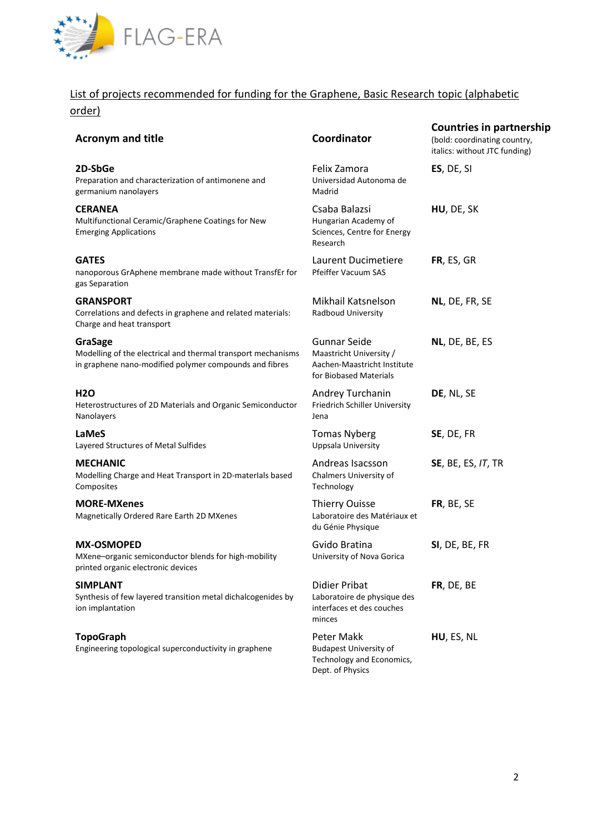

## List of projects recommended for funding for the Graphene, Basic Research topic (alphabetic

order)

| 71 uci j                                                                                                                          |                                                                                                         |                                                                                                  |
|-----------------------------------------------------------------------------------------------------------------------------------|---------------------------------------------------------------------------------------------------------|--------------------------------------------------------------------------------------------------|
| <b>Acronym and title</b>                                                                                                          | Coordinator                                                                                             | <b>Countries in partnership</b><br>(bold: coordinating country,<br>italics: without JTC funding) |
| 2D-SbGe<br>Preparation and characterization of antimonene and<br>germanium nanolayers                                             | Felix Zamora<br>Universidad Autonoma de<br>Madrid                                                       | ES, DE, SI                                                                                       |
| <b>CERANEA</b><br>Multifunctional Ceramic/Graphene Coatings for New<br><b>Emerging Applications</b>                               | Csaba Balazsi<br>Hungarian Academy of<br>Sciences, Centre for Energy<br>Research                        | HU, DE, SK                                                                                       |
| <b>GATES</b><br>nanoporous GrAphene membrane made without TransfEr for<br>gas Separation                                          | Laurent Ducimetiere<br>Pfeiffer Vacuum SAS                                                              | FR, ES, GR                                                                                       |
| <b>GRANSPORT</b><br>Correlations and defects in graphene and related materials:<br>Charge and heat transport                      | Mikhail Katsnelson<br>Radboud University                                                                | NL, DE, FR, SE                                                                                   |
| GraSage<br>Modelling of the electrical and thermal transport mechanisms<br>in graphene nano-modified polymer compounds and fibres | <b>Gunnar Seide</b><br>Maastricht University /<br>Aachen-Maastricht Institute<br>for Biobased Materials | NL, DE, BE, ES                                                                                   |
| <b>H2O</b><br>Heterostructures of 2D Materials and Organic Semiconductor<br>Nanolayers                                            | Andrey Turchanin<br>Friedrich Schiller University<br>Jena                                               | DE, NL, SE                                                                                       |
| <b>LaMeS</b><br>Layered Structures of Metal Sulfides                                                                              | <b>Tomas Nyberg</b><br>Uppsala University                                                               | SE, DE, FR                                                                                       |
| <b>MECHANIC</b><br>Modelling Charge and Heat Transport in 2D-materlals based<br>Composites                                        | Andreas Isacsson<br>Chalmers University of<br>Technology                                                | <b>SE, BE, ES, IT, TR</b>                                                                        |
| <b>MORE-MXenes</b><br>Magnetically Ordered Rare Earth 2D MXenes                                                                   | <b>Thierry Ouisse</b><br>Laboratoire des Matériaux et<br>du Génie Physique                              | FR, BE, SE                                                                                       |
| <b>MX-OSMOPED</b><br>MXene-organic semiconductor blends for high-mobility<br>printed organic electronic devices                   | Gvido Bratina<br>University of Nova Gorica                                                              | SI, DE, BE, FR                                                                                   |
| <b>SIMPLANT</b><br>Synthesis of few layered transition metal dichalcogenides by<br>ion implantation                               | <b>Didier Pribat</b><br>Laboratoire de physique des<br>interfaces et des couches<br>minces              | FR, DE, BE                                                                                       |
| <b>TopoGraph</b><br>Engineering topological superconductivity in graphene                                                         | Peter Makk<br><b>Budapest University of</b><br>Technology and Economics,<br>Dept. of Physics            | HU, ES, NL                                                                                       |